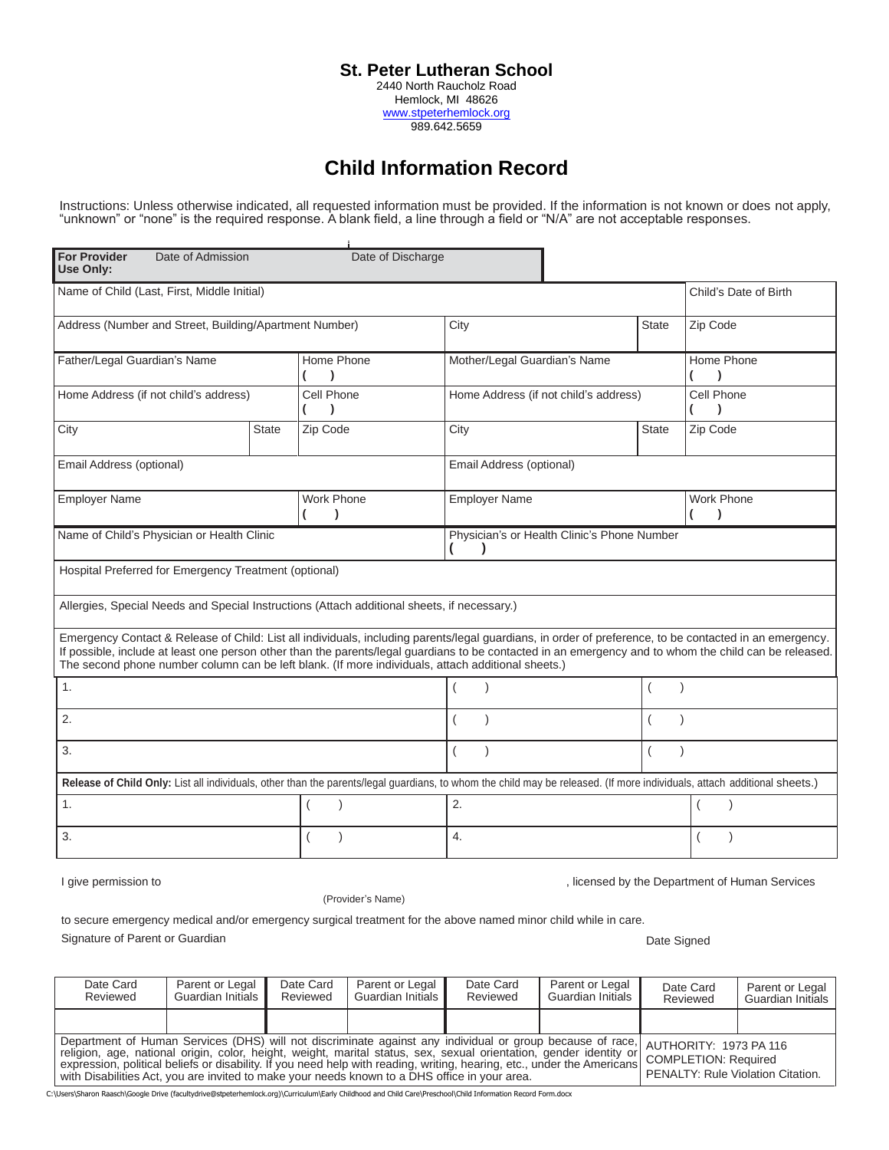## **St. Peter Lutheran School**

2440 North Raucholz Road Hemlock, MI 48626 [www.stpeterhemlock.org](http://www.stpeterhemlock.org/) 989.642.5659

## **Child Information Record**

Instructions: Unless otherwise indicated, all requested information must be provided. If the information is not known or does not apply, "unknown" or "none" is the required response. A blank field, a line through a field or "N/A" are not acceptable responses.

| <b>For Provider</b><br>Date of Admission<br>Use Only:                                       |              | Date of Discharge |                                                                                                                                                                                                                                                                                                                                                                                                                         |              |                                                |
|---------------------------------------------------------------------------------------------|--------------|-------------------|-------------------------------------------------------------------------------------------------------------------------------------------------------------------------------------------------------------------------------------------------------------------------------------------------------------------------------------------------------------------------------------------------------------------------|--------------|------------------------------------------------|
| Name of Child (Last, First, Middle Initial)                                                 |              |                   |                                                                                                                                                                                                                                                                                                                                                                                                                         |              | Child's Date of Birth                          |
| Address (Number and Street, Building/Apartment Number)                                      |              |                   | City                                                                                                                                                                                                                                                                                                                                                                                                                    | State        | Zip Code                                       |
| Father/Legal Guardian's Name                                                                |              | Home Phone        | Mother/Legal Guardian's Name                                                                                                                                                                                                                                                                                                                                                                                            |              | Home Phone                                     |
| Home Address (if not child's address)                                                       |              | Cell Phone        | Home Address (if not child's address)                                                                                                                                                                                                                                                                                                                                                                                   |              | Cell Phone                                     |
| City                                                                                        | <b>State</b> | Zip Code          | City                                                                                                                                                                                                                                                                                                                                                                                                                    | <b>State</b> | Zip Code                                       |
| Email Address (optional)                                                                    |              |                   | Email Address (optional)                                                                                                                                                                                                                                                                                                                                                                                                |              |                                                |
| <b>Employer Name</b>                                                                        |              | <b>Work Phone</b> | <b>Employer Name</b>                                                                                                                                                                                                                                                                                                                                                                                                    |              |                                                |
| Name of Child's Physician or Health Clinic                                                  |              |                   | Physician's or Health Clinic's Phone Number                                                                                                                                                                                                                                                                                                                                                                             |              |                                                |
| Hospital Preferred for Emergency Treatment (optional)                                       |              |                   |                                                                                                                                                                                                                                                                                                                                                                                                                         |              |                                                |
| Allergies, Special Needs and Special Instructions (Attach additional sheets, if necessary.) |              |                   |                                                                                                                                                                                                                                                                                                                                                                                                                         |              |                                                |
|                                                                                             |              |                   | Emergency Contact & Release of Child: List all individuals, including parents/legal guardians, in order of preference, to be contacted in an emergency.<br>If possible, include at least one person other than the parents/legal guardians to be contacted in an emergency and to whom the child can be released.<br>The second phone number column can be left blank. (If more individuals, attach additional sheets.) |              |                                                |
| 1.                                                                                          |              |                   |                                                                                                                                                                                                                                                                                                                                                                                                                         |              |                                                |
| 2.                                                                                          |              |                   |                                                                                                                                                                                                                                                                                                                                                                                                                         |              |                                                |
| 3.                                                                                          |              |                   |                                                                                                                                                                                                                                                                                                                                                                                                                         |              |                                                |
|                                                                                             |              |                   | Release of Child Only: List all individuals, other than the parents/legal guardians, to whom the child may be released. (If more individuals, attach additional sheets.)                                                                                                                                                                                                                                                |              |                                                |
| 1.                                                                                          |              |                   | 2.                                                                                                                                                                                                                                                                                                                                                                                                                      |              |                                                |
| 3.                                                                                          |              |                   | 4.                                                                                                                                                                                                                                                                                                                                                                                                                      |              |                                                |
| I give permission to                                                                        |              |                   |                                                                                                                                                                                                                                                                                                                                                                                                                         |              | , licensed by the Department of Human Services |

(Provider's Name)

to secure emergency medical and/or emergency surgical treatment for the above named minor child while in care. Signature of Parent or Guardian **Date Signed** Controller and Date Signed Controller and Date Signed Date Signed

C:\Users\Sharon Raasch\Google Drive (facultydrive@stpeterhemlock.org)\Curriculum\Early Childhood and Child Care\Preschool\Child Information Record Form.docx Date Card Reviewed Parent or Legal Guardian Initials Date Card Reviewed Parent or Legal Guardian Initials Date Card Reviewed Parent or Legal Guardian Initials Date Card Reviewed Parent or Legal Guardian Initials Department of Human Services (DHS) will not discriminate against any individual or group because of race, religion, age, national origin, color, height, weight, marital status, sex, sexual orientation, gender identity or expression, political beliefs or disability. If you need help with reading, writing, hearing, etc., under the Americans with Disabilities Act, you are invited to make your needs known to a DHS office in your area. AUTHORITY: 1973 PA 116 COMPLETION: Required PENALTY: Rule Violation Citation.